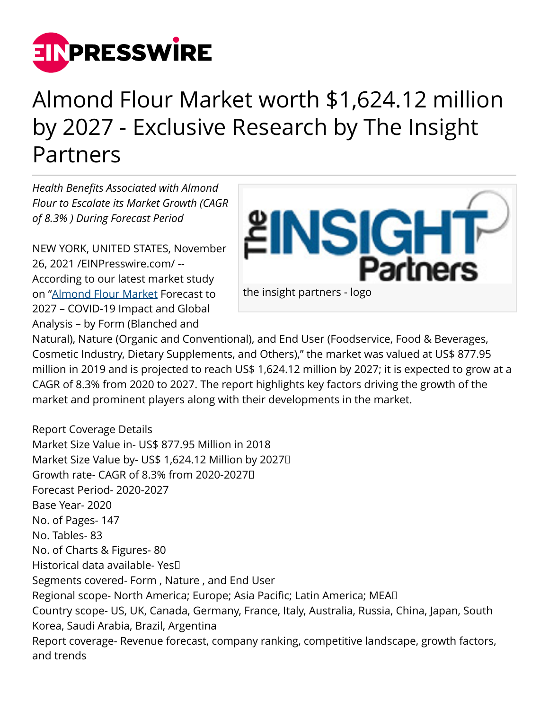

# Almond Flour Market worth \$1,624.12 million by 2027 - Exclusive Research by The Insight Partners

*Health Benefits Associated with Almond Flour to Escalate its Market Growth (CAGR of 8.3% ) During Forecast Period*

NEW YORK, UNITED STATES, November 26, 2021 /[EINPresswire.com/](http://www.einpresswire.com) -- According to our latest market study on "[Almond Flour Market](https://www.theinsightpartners.com/reports/almond-flour-market) Forecast to 2027 – COVID-19 Impact and Global Analysis – by Form (Blanched and



Natural), Nature (Organic and Conventional), and End User (Foodservice, Food & Beverages, Cosmetic Industry, Dietary Supplements, and Others)," the market was valued at US\$ 877.95 million in 2019 and is projected to reach US\$ 1,624.12 million by 2027; it is expected to grow at a CAGR of 8.3% from 2020 to 2027. The report highlights key factors driving the growth of the market and prominent players along with their developments in the market.

# Report Coverage Details Market Size Value in- US\$ 877.95 Million in 2018 Market Size Value by- US\$ 1,624.12 Million by 2027 Growth rate- CAGR of 8.3% from 2020-2027 Forecast Period- 2020-2027 Base Year- 2020 No. of Pages- 147 No. Tables- 83 No. of Charts & Figures- 80 Historical data available- Yes Segments covered- Form , Nature , and End User Regional scope- North America; Europe; Asia Pacific; Latin America; MEA Country scope- US, UK, Canada, Germany, France, Italy, Australia, Russia, China, Japan, South Korea, Saudi Arabia, Brazil, Argentina Report coverage- Revenue forecast, company ranking, competitive landscape, growth factors, and trends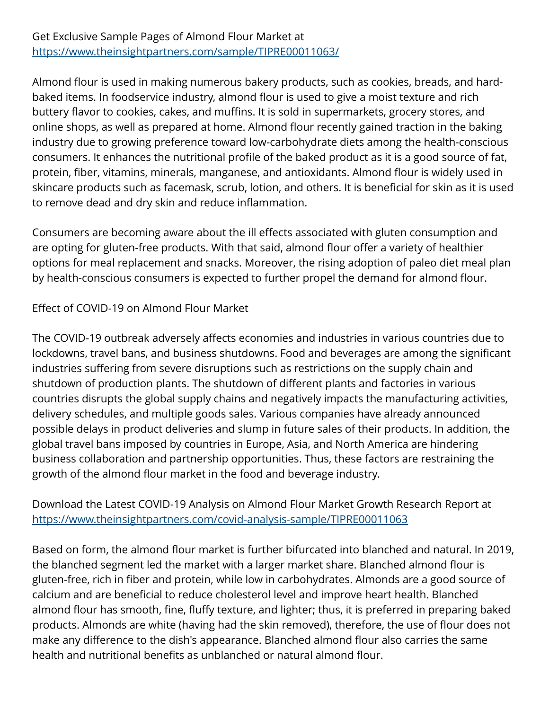## Get Exclusive Sample Pages of Almond Flour Market at [https://www.theinsightpartners.com/sample/TIPRE00011063/](https://www.theinsightpartners.com/sample/TIPRE00011063/?utm_source=EINPressWire&utm_medium=10310)

Almond flour is used in making numerous bakery products, such as cookies, breads, and hardbaked items. In foodservice industry, almond flour is used to give a moist texture and rich buttery flavor to cookies, cakes, and muffins. It is sold in supermarkets, grocery stores, and online shops, as well as prepared at home. Almond flour recently gained traction in the baking industry due to growing preference toward low-carbohydrate diets among the health-conscious consumers. It enhances the nutritional profile of the baked product as it is a good source of fat, protein, fiber, vitamins, minerals, manganese, and antioxidants. Almond flour is widely used in skincare products such as facemask, scrub, lotion, and others. It is beneficial for skin as it is used to remove dead and dry skin and reduce inflammation.

Consumers are becoming aware about the ill effects associated with gluten consumption and are opting for gluten-free products. With that said, almond flour offer a variety of healthier options for meal replacement and snacks. Moreover, the rising adoption of paleo diet meal plan by health-conscious consumers is expected to further propel the demand for almond flour.

## Effect of COVID-19 on Almond Flour Market

The COVID-19 outbreak adversely affects economies and industries in various countries due to lockdowns, travel bans, and business shutdowns. Food and beverages are among the significant industries suffering from severe disruptions such as restrictions on the supply chain and shutdown of production plants. The shutdown of different plants and factories in various countries disrupts the global supply chains and negatively impacts the manufacturing activities, delivery schedules, and multiple goods sales. Various companies have already announced possible delays in product deliveries and slump in future sales of their products. In addition, the global travel bans imposed by countries in Europe, Asia, and North America are hindering business collaboration and partnership opportunities. Thus, these factors are restraining the growth of the almond flour market in the food and beverage industry.

### Download the Latest COVID-19 Analysis on Almond Flour Market Growth Research Report at <https://www.theinsightpartners.com/covid-analysis-sample/TIPRE00011063>

Based on form, the almond flour market is further bifurcated into blanched and natural. In 2019, the blanched segment led the market with a larger market share. Blanched almond flour is gluten-free, rich in fiber and protein, while low in carbohydrates. Almonds are a good source of calcium and are beneficial to reduce cholesterol level and improve heart health. Blanched almond flour has smooth, fine, fluffy texture, and lighter; thus, it is preferred in preparing baked products. Almonds are white (having had the skin removed), therefore, the use of flour does not make any difference to the dish's appearance. Blanched almond flour also carries the same health and nutritional benefits as unblanched or natural almond flour.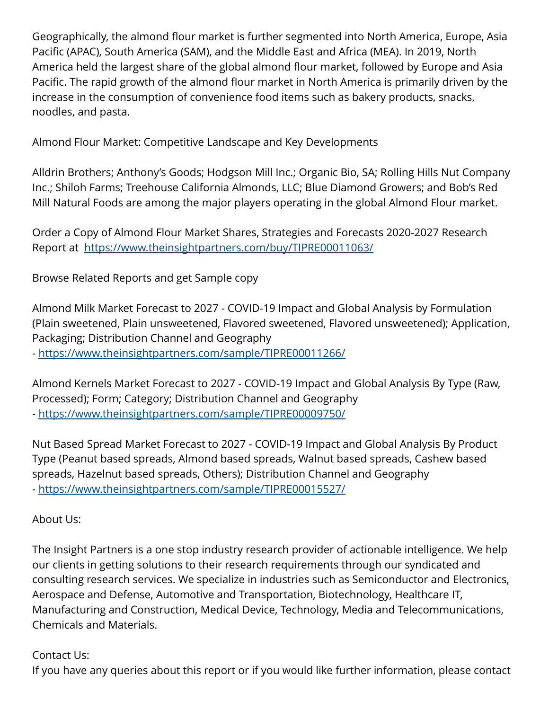Geographically, the almond flour market is further segmented into North America, Europe, Asia Pacific (APAC), South America (SAM), and the Middle East and Africa (MEA). In 2019, North America held the largest share of the global almond flour market, followed by Europe and Asia Pacific. The rapid growth of the almond flour market in North America is primarily driven by the increase in the consumption of convenience food items such as bakery products, snacks, noodles, and pasta.

Almond Flour Market: Competitive Landscape and Key Developments

Alldrin Brothers; Anthony's Goods; Hodgson Mill Inc.; Organic Bio, SA; Rolling Hills Nut Company Inc.; Shiloh Farms; Treehouse California Almonds, LLC; Blue Diamond Growers; and Bob's Red Mill Natural Foods are among the major players operating in the global Almond Flour market.

Order a Copy of Almond Flour Market Shares, Strategies and Forecasts 2020-2027 Research Report at [https://www.theinsightpartners.com/buy/TIPRE00011063/](https://www.theinsightpartners.com/buy/TIPRE00011063/?utm_source=EINPressWire&utm_medium=10310)

Browse Related Reports and get Sample copy

Almond Milk Market Forecast to 2027 - COVID-19 Impact and Global Analysis by Formulation (Plain sweetened, Plain unsweetened, Flavored sweetened, Flavored unsweetened); Application, Packaging; Distribution Channel and Geography

- <https://www.theinsightpartners.com/sample/TIPRE00011266/>

Almond Kernels Market Forecast to 2027 - COVID-19 Impact and Global Analysis By Type (Raw, Processed); Form; Category; Distribution Channel and Geography - <https://www.theinsightpartners.com/sample/TIPRE00009750/>

Nut Based Spread Market Forecast to 2027 - COVID-19 Impact and Global Analysis By Product Type (Peanut based spreads, Almond based spreads, Walnut based spreads, Cashew based spreads, Hazelnut based spreads, Others); Distribution Channel and Geography - <https://www.theinsightpartners.com/sample/TIPRE00015527/>

About Us:

The Insight Partners is a one stop industry research provider of actionable intelligence. We help our clients in getting solutions to their research requirements through our syndicated and consulting research services. We specialize in industries such as Semiconductor and Electronics, Aerospace and Defense, Automotive and Transportation, Biotechnology, Healthcare IT, Manufacturing and Construction, Medical Device, Technology, Media and Telecommunications, Chemicals and Materials.

### Contact Us:

If you have any queries about this report or if you would like further information, please contact